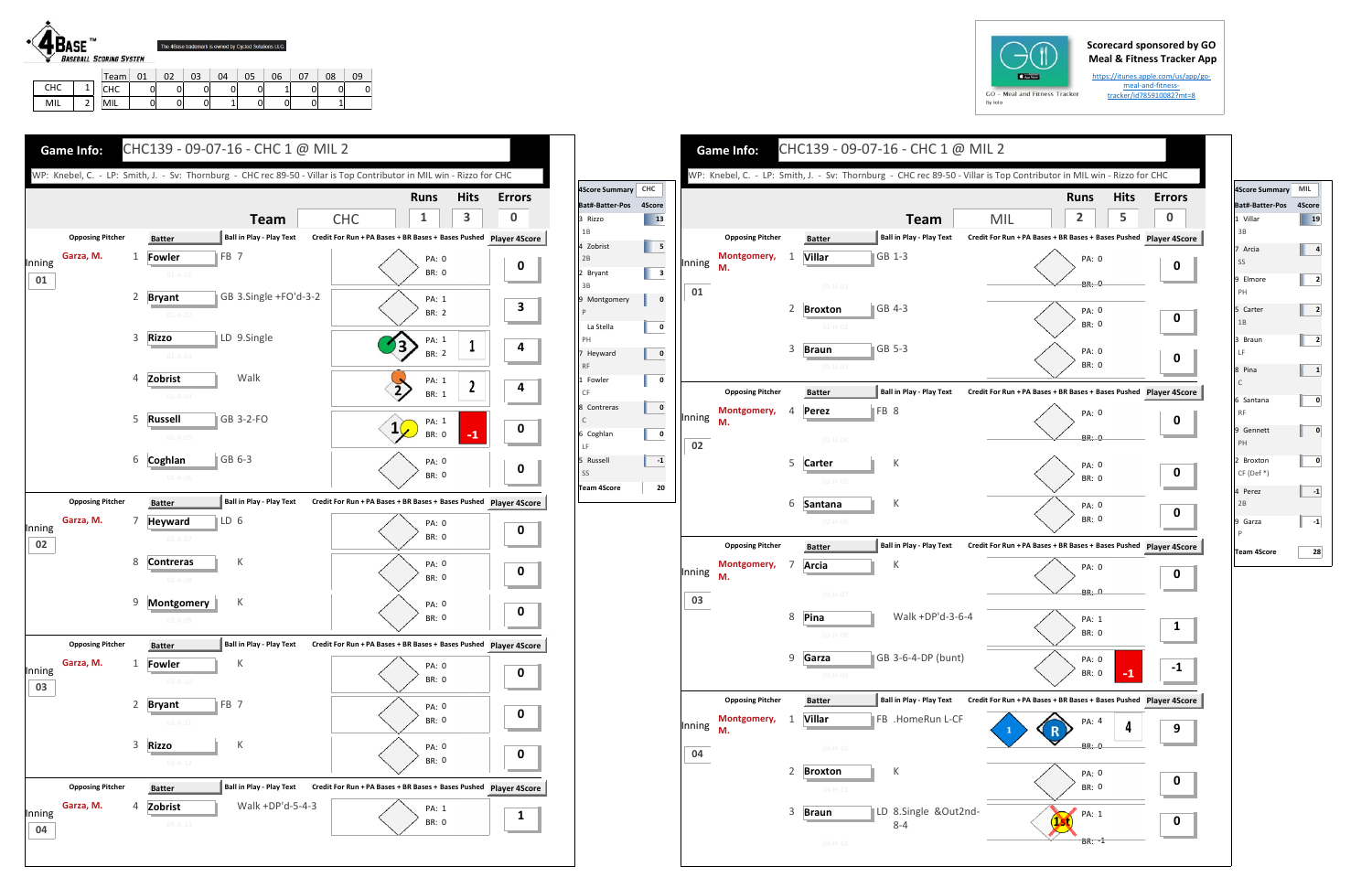## **Scorecard sponsored by GO Meal & Fitness Tracker App**

https://itunes.apple.com/us/app/go‐ meal‐and‐fitness‐ tracker/id785910082?mt=8

CHC | 1 MIL 2

CHC | 0 | 0 | 0 | 0 | 0 | 1 | 0 | 0 | 0

2 | MIL | 0 | 0 | 0 | 1 | 0 | 0 | 0 | 1

| GO |         |
|----|---------|
|    | By Iolo |



|        |                         |   |                                                  |                                                                   | WP: Knebel, C. - LP: Smith, J. - Sv: Thornburg - CHC rec 89-50 - Villar is Top Contributor in MIL win - Rizzo for CHC |                  |                      | <b>4Score Summary</b>  |
|--------|-------------------------|---|--------------------------------------------------|-------------------------------------------------------------------|-----------------------------------------------------------------------------------------------------------------------|------------------|----------------------|------------------------|
|        |                         |   |                                                  |                                                                   | <b>Runs</b>                                                                                                           | <b>Hits</b>      | <b>Errors</b>        | <b>Bat#-Batter-Pos</b> |
|        |                         |   | <b>Team</b>                                      | <b>CHC</b>                                                        | 1                                                                                                                     | 3                | $\bf{0}$             | 3 Rizzo                |
|        | <b>Opposing Pitcher</b> |   | Ball in Play - Play Text<br><b>Batter</b>        | Credit For Run + PA Bases + BR Bases + Bases Pushed Player 4Score |                                                                                                                       |                  |                      | 1B                     |
|        | Garza, M.               | 1 | $\parallel$ FB 7<br>Fowler                       |                                                                   |                                                                                                                       |                  |                      | 4 Zobrist<br>2B        |
| Inning |                         |   | $01 - A - 01$                                    |                                                                   | PA: 0<br><b>BR: 0</b>                                                                                                 |                  | $\boldsymbol{0}$     | 2 Bryant               |
| 01     |                         |   |                                                  |                                                                   |                                                                                                                       |                  |                      | 3B                     |
|        |                         | 2 | GB 3.Single +FO'd-3-2<br><b>Bryant</b>           |                                                                   | PA: 1                                                                                                                 |                  | 3                    | 9 Montgomery           |
|        |                         |   | $01 - A - 02$                                    |                                                                   | <b>BR: 2</b>                                                                                                          |                  |                      | $\mathsf{P}$           |
|        |                         | 3 | LD 9.Single<br><b>Rizzo</b>                      |                                                                   | PA: 1                                                                                                                 |                  |                      | La Stella<br>PH        |
|        |                         |   | $01 - A - 03$                                    | 3                                                                 | <b>BR: 2</b>                                                                                                          | 1                | 4                    | 7 Heyward              |
|        |                         |   |                                                  |                                                                   |                                                                                                                       |                  |                      | RF                     |
|        |                         | 4 | Zobrist<br>Walk                                  |                                                                   | PA: 1                                                                                                                 | $\boldsymbol{z}$ | 4                    | 1 Fowler<br>CF         |
|        |                         |   | $01 - A - 04$                                    |                                                                   | <b>BR: 1</b>                                                                                                          |                  |                      | 8 Contreras            |
|        |                         | 5 | GB 3-2-FO<br>Russell                             |                                                                   | PA: 1                                                                                                                 |                  |                      | $\mathsf C$            |
|        |                         |   | $01 - A - 05$                                    | $1\sqrt{ }$                                                       | BR: 0                                                                                                                 | $-1$             | 0                    | 6 Coghlan              |
|        |                         | 6 | Coghlan<br>GB 6-3                                |                                                                   |                                                                                                                       |                  |                      | LF<br>5 Russell        |
|        |                         |   | $01 - A - 06$                                    |                                                                   | PA: 0<br><b>BR: 0</b>                                                                                                 |                  | $\mathbf 0$          | SS                     |
|        |                         |   |                                                  |                                                                   |                                                                                                                       |                  |                      | <b>Team 4Score</b>     |
|        | <b>Opposing Pitcher</b> |   | <b>Ball in Play - Play Text</b><br><b>Batter</b> | Credit For Run + PA Bases + BR Bases + Bases Pushed Player 4Score |                                                                                                                       |                  |                      |                        |
| Inning | Garza, M.               | 7 | ∥LD 6<br><b>Heyward</b>                          |                                                                   | <b>PA: 0</b>                                                                                                          |                  | $\boldsymbol{0}$     |                        |
| 02     |                         |   | $02 - A - 07$                                    |                                                                   | <b>BR: 0</b>                                                                                                          |                  |                      |                        |
|        |                         | 8 | Κ<br><b>Contreras</b>                            |                                                                   | PA: 0                                                                                                                 |                  |                      |                        |
|        |                         |   | $02 - A - 08$                                    |                                                                   | BR: 0                                                                                                                 |                  | $\bf{0}$             |                        |
|        |                         |   |                                                  |                                                                   |                                                                                                                       |                  |                      |                        |
|        |                         | 9 | Montgomery<br>К                                  |                                                                   | PA: 0                                                                                                                 |                  | 0                    |                        |
|        |                         |   | $02 - A - 09$                                    |                                                                   | <b>BR: 0</b>                                                                                                          |                  |                      |                        |
|        | <b>Opposing Pitcher</b> |   | Ball in Play - Play Text<br><b>Batter</b>        | Credit For Run + PA Bases + BR Bases + Bases Pushed Player 4Score |                                                                                                                       |                  |                      |                        |
|        | Garza, M.               | 1 | К<br><b>Fowler</b>                               |                                                                   | PA: 0                                                                                                                 |                  |                      |                        |
| Inning |                         |   | $03 - A - 10$                                    |                                                                   | BR: 0                                                                                                                 |                  | 0                    |                        |
| 03     |                         |   |                                                  |                                                                   |                                                                                                                       |                  |                      |                        |
|        |                         | 2 | FB <sub>7</sub><br><b>Bryant</b>                 |                                                                   | PA: 0<br>BR: 0                                                                                                        |                  | 0                    |                        |
|        |                         |   | $03 - A - 11$                                    |                                                                   |                                                                                                                       |                  |                      |                        |
|        |                         | 3 | <b>Rizzo</b><br>К                                |                                                                   | PA: 0                                                                                                                 |                  |                      |                        |
|        |                         |   | $03 - A - 12$                                    |                                                                   | BR: 0                                                                                                                 |                  | 0                    |                        |
|        | <b>Opposing Pitcher</b> |   | <b>Ball in Play - Play Text</b><br><b>Batter</b> | Credit For Run + PA Bases + BR Bases + Bases Pushed               |                                                                                                                       |                  | <b>Player 4Score</b> |                        |
|        |                         |   |                                                  |                                                                   |                                                                                                                       |                  |                      |                        |
| Inning | Garza, M.               | 4 | Walk +DP'd-5-4-3<br>Zobrist                      |                                                                   | PA: 1                                                                                                                 |                  | 1                    |                        |

|               |        | <b>Game Info:</b>                                                                                   |   |                                 |                 | CHC139 - 09-07-16 - CHC 1 @ MIL 2 |                                        |            |                |
|---------------|--------|-----------------------------------------------------------------------------------------------------|---|---------------------------------|-----------------|-----------------------------------|----------------------------------------|------------|----------------|
|               |        | WP: Knebel, C. - LP: Smith, J. - Sv: Thornburg - CHC rec 89-50 - Villar is Top Contributor in MIL \ |   |                                 |                 |                                   |                                        |            |                |
| CHC<br>4Score |        |                                                                                                     |   |                                 |                 |                                   |                                        |            | <b>Runs</b>    |
|               |        |                                                                                                     |   |                                 |                 | <b>Team</b>                       | <b>MIL</b>                             |            | $\overline{2}$ |
|               |        | <b>Opposing Pitcher</b>                                                                             |   | <b>Batter</b>                   |                 | Ball in Play - Play Text          | Credit For Run + PA Bases + BR Bases + |            |                |
|               | Inning | Montgomery,<br>М.                                                                                   | 1 | <b>Villar</b>                   |                 | GB 1-3                            |                                        |            | PA:            |
|               |        |                                                                                                     |   | $01 - H - 01$                   |                 |                                   |                                        |            | BR:            |
|               | 01     |                                                                                                     | 2 | <b>Broxton</b>                  |                 | GB 4-3                            |                                        |            | PA:            |
|               |        |                                                                                                     |   | $01-H-02$                       |                 |                                   |                                        |            | BR:            |
|               |        |                                                                                                     | 3 | <b>Braun</b>                    |                 | GB 5-3                            |                                        |            | PA:            |
|               |        |                                                                                                     |   | $01 - H - 03$                   |                 |                                   |                                        |            | BR:            |
|               |        | <b>Opposing Pitcher</b>                                                                             |   | <b>Batter</b>                   |                 | <b>Ball in Play - Play Text</b>   | Credit For Run + PA Bases + BR Bases + |            |                |
|               |        | Montgomery,                                                                                         | 4 | Perez                           | FB <sub>8</sub> |                                   |                                        |            | PA:            |
|               | Inning | М.                                                                                                  |   |                                 |                 |                                   |                                        |            |                |
|               | 02     |                                                                                                     |   | $02 - H - 04$                   |                 |                                   |                                        |            | BR:            |
|               |        |                                                                                                     | 5 | Carter                          |                 | К                                 |                                        |            | PA:            |
|               |        |                                                                                                     |   | $02 - H - 05$                   |                 |                                   |                                        |            | BR:            |
|               |        |                                                                                                     | 6 | Santana                         |                 | К                                 |                                        |            | PA:<br>BR:     |
|               |        |                                                                                                     |   | $02 - H - 06$                   |                 |                                   |                                        |            |                |
|               |        | <b>Opposing Pitcher</b>                                                                             |   | <b>Batter</b>                   |                 | <b>Ball in Play - Play Text</b>   | Credit For Run + PA Bases + BR Bases + |            |                |
|               | Inning | Montgomery,<br>М.                                                                                   | 7 | Arcia                           |                 | К                                 |                                        |            | PA:            |
|               | 03     |                                                                                                     |   | $03-H-07$                       |                 |                                   |                                        |            | BR:            |
|               |        |                                                                                                     | 8 | Pina                            |                 | Walk +DP'd-3-6-4                  |                                        |            | PA:            |
|               |        |                                                                                                     |   | 03-H-08                         |                 |                                   |                                        |            | BR:            |
|               |        |                                                                                                     | 9 | Garza                           |                 | GB 3-6-4-DP (bunt)                |                                        |            | PA:            |
|               |        |                                                                                                     |   | 03-H-09                         |                 |                                   |                                        |            | BR:            |
|               |        | <b>Opposing Pitcher</b>                                                                             |   | <b>Batter</b>                   |                 | <b>Ball in Play - Play Text</b>   | Credit For Run + PA Bases + BR Bases + |            |                |
|               | Inning | Montgomery,                                                                                         | 1 | <b>Villar</b>                   |                 | FB .HomeRun L-CF                  |                                        |            | PA:            |
|               |        | М.                                                                                                  |   | $04 - H - 10$                   |                 |                                   | 1                                      |            | BR:            |
|               | 04     |                                                                                                     |   |                                 |                 |                                   |                                        |            |                |
|               |        |                                                                                                     | 2 | <b>Broxton</b><br>$04 - H - 11$ |                 | К                                 |                                        |            | PA:<br>BR:     |
|               |        |                                                                                                     | 3 |                                 |                 | LD 8.Single &Out2nd-              |                                        |            |                |
|               |        |                                                                                                     |   | <b>Braun</b>                    |                 | $8 - 4$                           |                                        | <b>1st</b> | PA:            |
|               |        |                                                                                                     |   | $04 - H - 12$                   |                 |                                   |                                        |            | BR:            |





| 4Score Summary             | MIL    |
|----------------------------|--------|
| Bat#-Batter-Pos            | 4Score |
| 1 Villar<br>3B             | 19     |
| 7 Arcia<br>SS              | 4      |
| 9 Elmore<br>PH             | 2      |
| 5 Carter<br>1B             | 2      |
| 3 Braun<br>LF              | 2      |
| 8 Pina<br>$\mathsf C$      | 1      |
| 6 Santana<br><b>RF</b>     | 0      |
| 9 Gennett<br>PH            | 0      |
| 2 Broxton<br>$CF (Def * )$ | 0      |
| 4 Perez<br>2B              | -1     |
| 9 Garza<br>P               | -1     |
| <b>Team 4Score</b>         | 28     |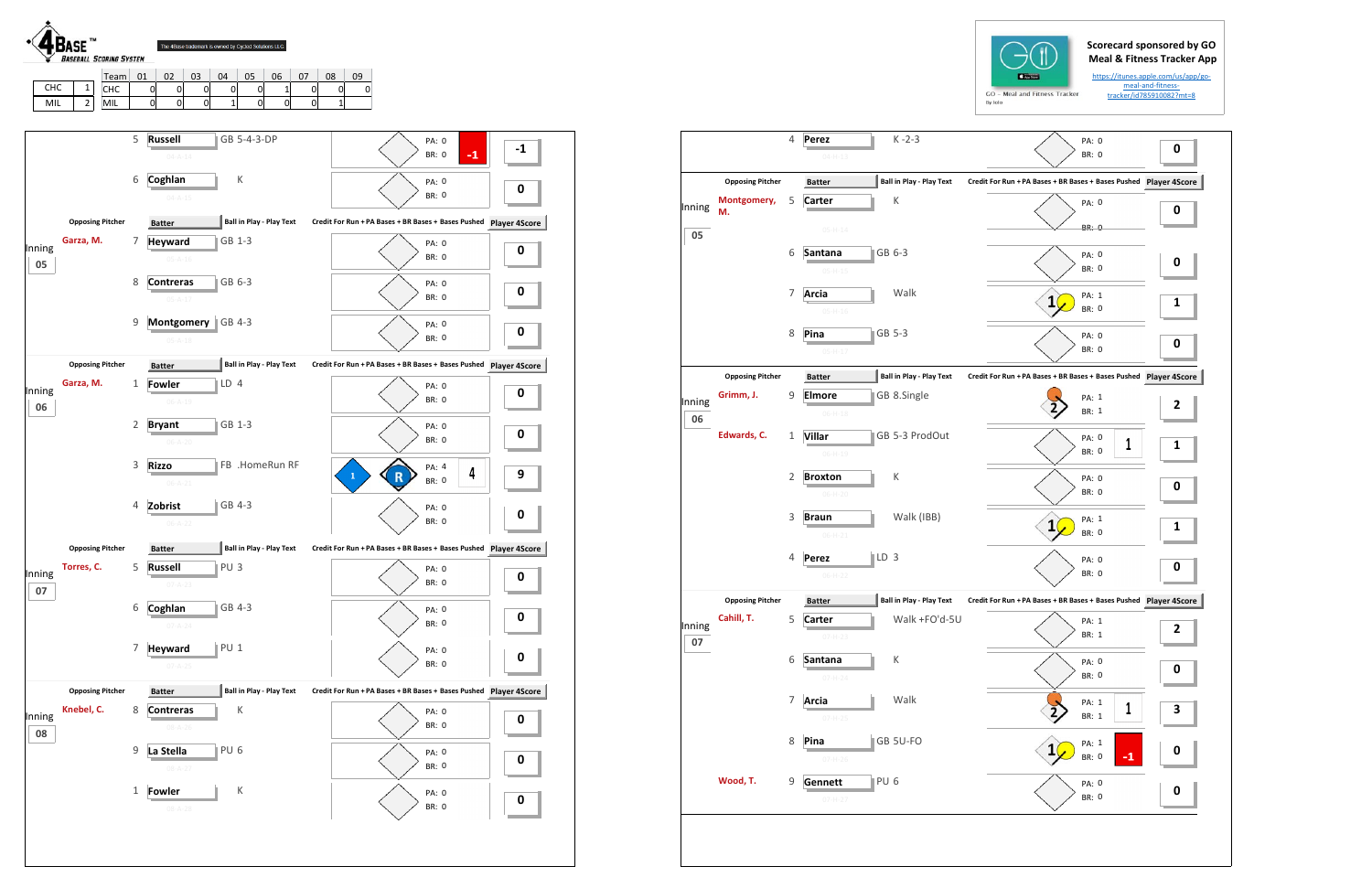## **Scorecard sponsored by GO Meal & Fitness Tracker App**

https://itunes.apple.com/us/app/go‐ meal‐and‐fitness‐ tracker/id785910082?mt=8

|              |                         | 4 | Perez                           | $K - 2 - 3$                     | PA:                                    |
|--------------|-------------------------|---|---------------------------------|---------------------------------|----------------------------------------|
|              |                         |   | $04 - H - 13$                   |                                 | BR:                                    |
|              | <b>Opposing Pitcher</b> |   | <b>Batter</b>                   | <b>Ball in Play - Play Text</b> | Credit For Run + PA Bases + BR Bases + |
| Inning       | Montgomery,<br>М.       | 5 | <b>Carter</b>                   | K                               | PA:                                    |
| 05           |                         |   | $05-H-14$                       |                                 | BR:                                    |
|              |                         | 6 | Santana<br>$05-H-15$            | GB 6-3                          | PA:<br>BR:                             |
|              |                         | 7 | Arcia<br>$05-H-16$              | Walk                            | PA:<br>1<br>BR:                        |
|              |                         | 8 | Pina<br>$05-H-17$               | GB 5-3                          | PA:<br>BR:                             |
|              | <b>Opposing Pitcher</b> |   | <b>Batter</b>                   | <b>Ball in Play - Play Text</b> | Credit For Run + PA Bases + BR Bases + |
| Inning<br>06 | Grimm, J.               | 9 | <b>Elmore</b><br>$06 - H - 18$  | GB 8.Single                     | PA:<br>BR:                             |
|              | Edwards, C.             | 1 | <b>Villar</b><br>$06 - H - 19$  | GB 5-3 ProdOut                  | PA:<br>BR:                             |
|              |                         | 2 | <b>Broxton</b><br>$06 - H - 20$ | К                               | PA:<br>BR:                             |
|              |                         | 3 | <b>Braun</b><br>$06 - H - 21$   | Walk (IBB)                      | PA:<br>1<br>BR:                        |
|              |                         | 4 | Perez<br>$06-H-22$              | LD <sub>3</sub>                 | PA:<br>BR:                             |
|              | <b>Opposing Pitcher</b> |   | <b>Batter</b>                   | Ball in Play - Play Text        | Credit For Run + PA Bases + BR Bases + |
| Inning<br>07 | Cahill, T.              | 5 | <b>Carter</b><br>07-H-23        | Walk +FO'd-5U                   | PA:<br>BR:                             |
|              |                         | 6 | Santana<br>$07 - H - 24$        | К                               | PA:<br>BR:                             |
|              |                         | 7 | <b>Arcia</b><br>$07 - H - 25$   | Walk                            | PA:<br>BR:                             |
|              |                         | 8 | Pina<br>07-H-26                 | GB 5U-FO                        | PA:<br>BR:                             |
|              | Wood, T.                | 9 | Gennett<br>$07 - H - 27$        | PU <sub>6</sub>                 | PA:<br>BR:                             |